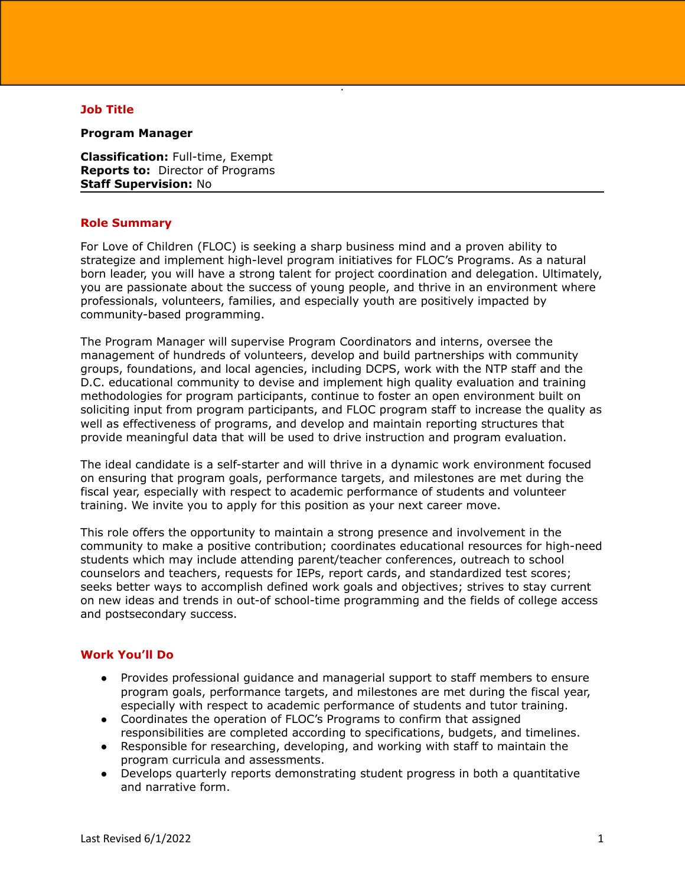# **Job Title**

#### **Program Manager**

**Classification:** Full-time, Exempt **Reports to:** Director of Programs **Staff Supervision:** No

#### **Role Summary**

For Love of Children (FLOC) is seeking a sharp business mind and a proven ability to strategize and implement high-level program initiatives for FLOC's Programs. As a natural born leader, you will have a strong talent for project coordination and delegation. Ultimately, you are passionate about the success of young people, and thrive in an environment where professionals, volunteers, families, and especially youth are positively impacted by community-based programming.

.

The Program Manager will supervise Program Coordinators and interns, oversee the management of hundreds of volunteers, develop and build partnerships with community groups, foundations, and local agencies, including DCPS, work with the NTP staff and the D.C. educational community to devise and implement high quality evaluation and training methodologies for program participants, continue to foster an open environment built on soliciting input from program participants, and FLOC program staff to increase the quality as well as effectiveness of programs, and develop and maintain reporting structures that provide meaningful data that will be used to drive instruction and program evaluation.

The ideal candidate is a self-starter and will thrive in a dynamic work environment focused on ensuring that program goals, performance targets, and milestones are met during the fiscal year, especially with respect to academic performance of students and volunteer training. We invite you to apply for this position as your next career move.

This role offers the opportunity to maintain a strong presence and involvement in the community to make a positive contribution; coordinates educational resources for high-need students which may include attending parent/teacher conferences, outreach to school counselors and teachers, requests for IEPs, report cards, and standardized test scores; seeks better ways to accomplish defined work goals and objectives; strives to stay current on new ideas and trends in out-of school-time programming and the fields of college access and postsecondary success.

# **Work You'll Do**

- Provides professional guidance and managerial support to staff members to ensure program goals, performance targets, and milestones are met during the fiscal year, especially with respect to academic performance of students and tutor training.
- Coordinates the operation of FLOC's Programs to confirm that assigned responsibilities are completed according to specifications, budgets, and timelines.
- Responsible for researching, developing, and working with staff to maintain the program curricula and assessments.
- Develops quarterly reports demonstrating student progress in both a quantitative and narrative form.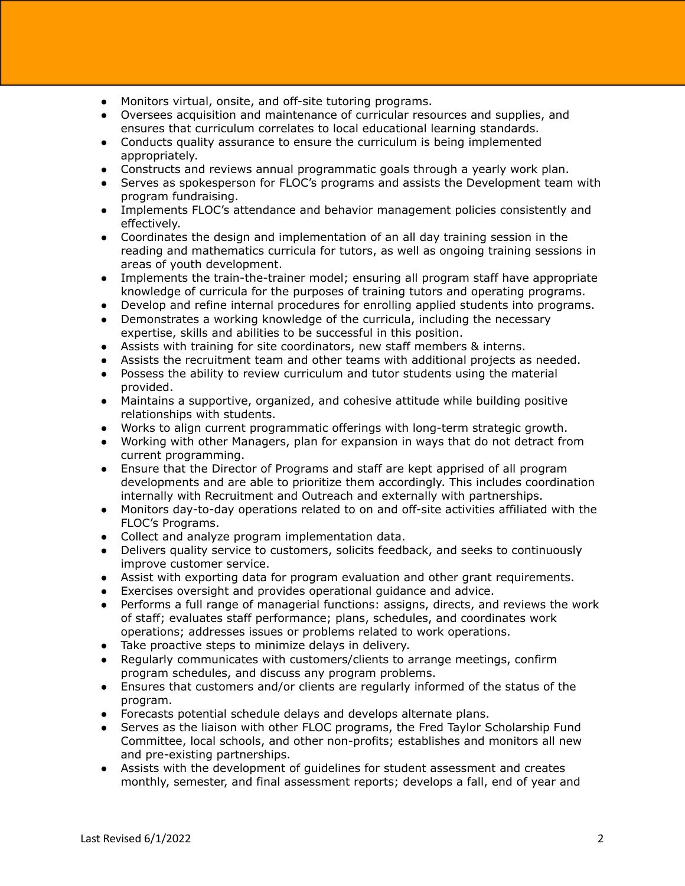- Monitors virtual, onsite, and off-site tutoring programs.
- Oversees acquisition and maintenance of curricular resources and supplies, and ensures that curriculum correlates to local educational learning standards.
- Conducts quality assurance to ensure the curriculum is being implemented appropriately.
- Constructs and reviews annual programmatic goals through a yearly work plan.
- Serves as spokesperson for FLOC's programs and assists the Development team with program fundraising.
- Implements FLOC's attendance and behavior management policies consistently and effectively.
- Coordinates the design and implementation of an all day training session in the reading and mathematics curricula for tutors, as well as ongoing training sessions in areas of youth development.
- Implements the train-the-trainer model; ensuring all program staff have appropriate knowledge of curricula for the purposes of training tutors and operating programs.
- Develop and refine internal procedures for enrolling applied students into programs.
- Demonstrates a working knowledge of the curricula, including the necessary expertise, skills and abilities to be successful in this position.
- Assists with training for site coordinators, new staff members & interns.
- Assists the recruitment team and other teams with additional projects as needed.
- Possess the ability to review curriculum and tutor students using the material provided.
- Maintains a supportive, organized, and cohesive attitude while building positive relationships with students.
- Works to align current programmatic offerings with long-term strategic growth.
- Working with other Managers, plan for expansion in ways that do not detract from current programming.
- Ensure that the Director of Programs and staff are kept apprised of all program developments and are able to prioritize them accordingly. This includes coordination internally with Recruitment and Outreach and externally with partnerships.
- Monitors day-to-day operations related to on and off-site activities affiliated with the FLOC's Programs.
- Collect and analyze program implementation data.
- Delivers quality service to customers, solicits feedback, and seeks to continuously improve customer service.
- Assist with exporting data for program evaluation and other grant requirements.
- Exercises oversight and provides operational guidance and advice.
- Performs a full range of managerial functions: assigns, directs, and reviews the work of staff; evaluates staff performance; plans, schedules, and coordinates work operations; addresses issues or problems related to work operations.
- Take proactive steps to minimize delays in delivery.
- Regularly communicates with customers/clients to arrange meetings, confirm program schedules, and discuss any program problems.
- Ensures that customers and/or clients are regularly informed of the status of the program.
- Forecasts potential schedule delays and develops alternate plans.
- Serves as the liaison with other FLOC programs, the Fred Taylor Scholarship Fund Committee, local schools, and other non-profits; establishes and monitors all new and pre-existing partnerships.
- Assists with the development of guidelines for student assessment and creates monthly, semester, and final assessment reports; develops a fall, end of year and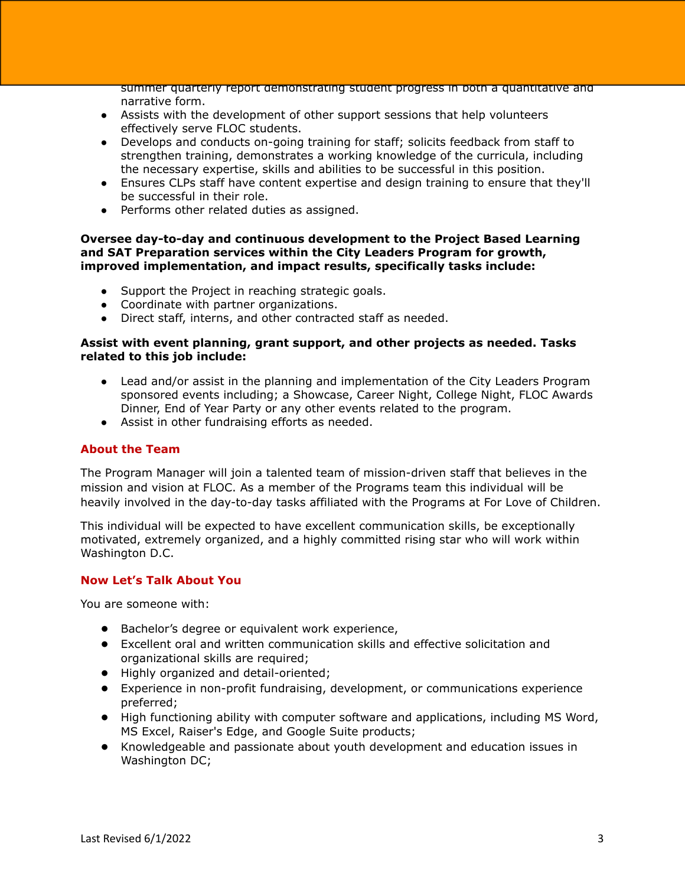summer quarterly report demonstrating student progress in both a quantitative and narrative form.

- Assists with the development of other support sessions that help volunteers effectively serve FLOC students.
- Develops and conducts on-going training for staff; solicits feedback from staff to strengthen training, demonstrates a working knowledge of the curricula, including the necessary expertise, skills and abilities to be successful in this position.
- Ensures CLPs staff have content expertise and design training to ensure that they'll be successful in their role.
- Performs other related duties as assigned.

### **Oversee day-to-day and continuous development to the Project Based Learning and SAT Preparation services within the City Leaders Program for growth, improved implementation, and impact results, specifically tasks include:**

- Support the Project in reaching strategic goals.
- Coordinate with partner organizations.
- Direct staff, interns, and other contracted staff as needed.

# **Assist with event planning, grant support, and other projects as needed. Tasks related to this job include:**

- Lead and/or assist in the planning and implementation of the City Leaders Program sponsored events including; a Showcase, Career Night, College Night, FLOC Awards Dinner, End of Year Party or any other events related to the program.
- Assist in other fundraising efforts as needed.

# **About the Team**

The Program Manager will join a talented team of mission-driven staff that believes in the mission and vision at FLOC. As a member of the Programs team this individual will be heavily involved in the day-to-day tasks affiliated with the Programs at For Love of Children.

This individual will be expected to have excellent communication skills, be exceptionally motivated, extremely organized, and a highly committed rising star who will work within Washington D.C.

# **Now Let's Talk About You**

You are someone with:

- Bachelor's degree or equivalent work experience,
- Excellent oral and written communication skills and effective solicitation and organizational skills are required;
- Highly organized and detail-oriented;
- Experience in non-profit fundraising, development, or communications experience preferred;
- High functioning ability with computer software and applications, including MS Word, MS Excel, Raiser's Edge, and Google Suite products;
- Knowledgeable and passionate about youth development and education issues in Washington DC;